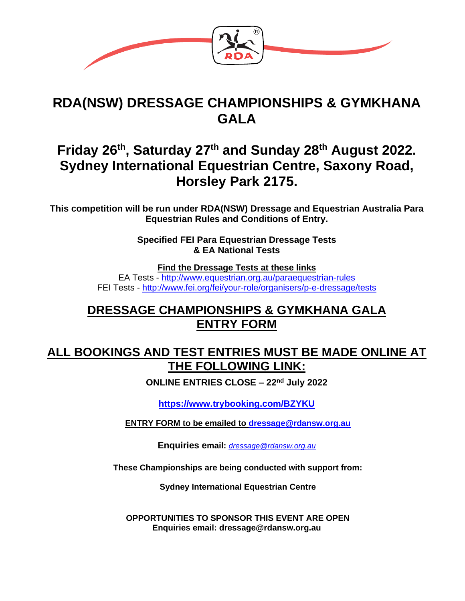

# **RDA(NSW) DRESSAGE CHAMPIONSHIPS & GYMKHANA GALA**

# **Friday 26th, Saturday 27th and Sunday 28th August 2022. Sydney International Equestrian Centre, Saxony Road, Horsley Park 2175.**

**This competition will be run under RDA(NSW) Dressage and Equestrian Australia Para Equestrian Rules and Conditions of Entry.**

> **Specified FEI Para Equestrian Dressage Tests & EA National Tests**

> > **Find the Dressage Tests at these links**

EA Tests - <http://www.equestrian.org.au/paraequestrian-rules> FEI Tests - <http://www.fei.org/fei/your-role/organisers/p-e-dressage/tests>

### **DRESSAGE CHAMPIONSHIPS & GYMKHANA GALA ENTRY FORM**

### **ALL BOOKINGS AND TEST ENTRIES MUST BE MADE ONLINE AT THE FOLLOWING LINK:**

**ONLINE ENTRIES CLOSE – 22nd July 2022**

**<https://www.trybooking.com/BZYKU>**

**ENTRY FORM to be emailed to [dressage@rdansw.org.au](mailto:dressage@rdansw.org.au)**

**Enquiries email:** *[dressage@rdansw.org.au](mailto:dressage@rdansw.org.au)*

**These Championships are being conducted with support from:**

**Sydney International Equestrian Centre**

**OPPORTUNITIES TO SPONSOR THIS EVENT ARE OPEN Enquiries email: dressage@rdansw.org.au**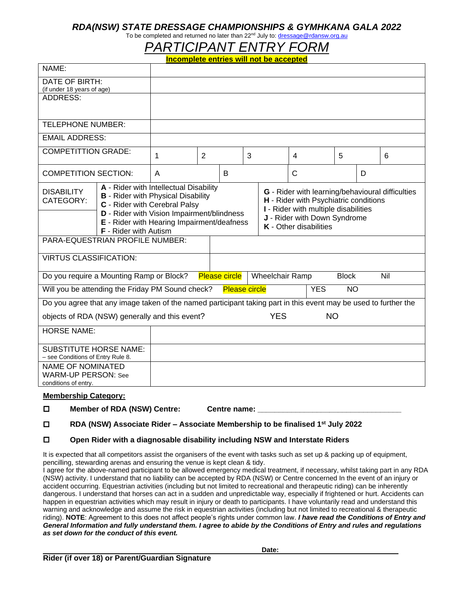#### *RDA(NSW) STATE DRESSAGE CHAMPIONSHIPS & GYMHKANA GALA 2022*

### To be completed and returned no later than 22<sup>nd</sup> July to: [dressage@rdansw.org.au](mailto:dressage@rdansw.org.au)

# *PARTICIPANT ENTRY FORM*

|                                              |                                                                                                                                                                                                                                                         | Incomplete entries will not be accepted |  |   |  |   |                               |                                                                                                                                                          |  |   |
|----------------------------------------------|---------------------------------------------------------------------------------------------------------------------------------------------------------------------------------------------------------------------------------------------------------|-----------------------------------------|--|---|--|---|-------------------------------|----------------------------------------------------------------------------------------------------------------------------------------------------------|--|---|
| NAME:                                        |                                                                                                                                                                                                                                                         |                                         |  |   |  |   |                               |                                                                                                                                                          |  |   |
| DATE OF BIRTH:<br>(if under 18 years of age) |                                                                                                                                                                                                                                                         |                                         |  |   |  |   |                               |                                                                                                                                                          |  |   |
| ADDRESS:                                     |                                                                                                                                                                                                                                                         |                                         |  |   |  |   |                               |                                                                                                                                                          |  |   |
| <b>TELEPHONE NUMBER:</b>                     |                                                                                                                                                                                                                                                         |                                         |  |   |  |   |                               |                                                                                                                                                          |  |   |
| <b>EMAIL ADDRESS:</b>                        |                                                                                                                                                                                                                                                         |                                         |  |   |  |   |                               |                                                                                                                                                          |  |   |
| <b>COMPETITTION GRADE:</b>                   |                                                                                                                                                                                                                                                         | 2<br>1                                  |  | 3 |  |   | 5<br>4                        |                                                                                                                                                          |  | 6 |
| <b>COMPETITION SECTION:</b>                  |                                                                                                                                                                                                                                                         | A                                       |  | B |  | С |                               | D                                                                                                                                                        |  |   |
| <b>DISABILITY</b><br>CATEGORY:               | A - Rider with Intellectual Disability<br><b>B</b> - Rider with Physical Disability<br>C - Rider with Cerebral Palsy<br>D - Rider with Vision Impairment/blindness<br><b>E</b> - Rider with Hearing Impairment/deafness<br><b>F</b> - Rider with Autism |                                         |  |   |  |   | <b>K</b> - Other disabilities | G - Rider with learning/behavioural dif<br>H - Rider with Psychiatric conditions<br>I - Rider with multiple disabilities<br>J - Rider with Down Syndrome |  |   |
| PARA-EQUESTRIAN PROFILE NUMBER:              |                                                                                                                                                                                                                                                         |                                         |  |   |  |   |                               |                                                                                                                                                          |  |   |
| <b>VIRTUS CLASSIFICATION:</b>                |                                                                                                                                                                                                                                                         |                                         |  |   |  |   |                               |                                                                                                                                                          |  |   |

| (if under 18 years of age)                                                                                      |                                                                                                                                                                    |                     |  |                         |                        |   |                                                                                                                                                                   |           |     |   |  |  |
|-----------------------------------------------------------------------------------------------------------------|--------------------------------------------------------------------------------------------------------------------------------------------------------------------|---------------------|--|-------------------------|------------------------|---|-------------------------------------------------------------------------------------------------------------------------------------------------------------------|-----------|-----|---|--|--|
| <b>ADDRESS:</b>                                                                                                 |                                                                                                                                                                    |                     |  |                         |                        |   |                                                                                                                                                                   |           |     |   |  |  |
|                                                                                                                 |                                                                                                                                                                    |                     |  |                         |                        |   |                                                                                                                                                                   |           |     |   |  |  |
| <b>TELEPHONE NUMBER:</b>                                                                                        |                                                                                                                                                                    |                     |  |                         |                        |   |                                                                                                                                                                   |           |     |   |  |  |
| <b>EMAIL ADDRESS:</b>                                                                                           |                                                                                                                                                                    |                     |  |                         |                        |   |                                                                                                                                                                   |           |     |   |  |  |
| <b>COMPETITTION GRADE:</b>                                                                                      |                                                                                                                                                                    | $\overline{2}$<br>1 |  | 3                       |                        |   | 4                                                                                                                                                                 | 5         |     | 6 |  |  |
| <b>COMPETITION SECTION:</b>                                                                                     |                                                                                                                                                                    | A                   |  | B                       |                        | C |                                                                                                                                                                   | D         |     |   |  |  |
| <b>DISABILITY</b><br>CATEGORY:                                                                                  | A - Rider with Intellectual Disability<br><b>B</b> - Rider with Physical Disability<br>C - Rider with Cerebral Palsy<br>D - Rider with Vision Impairment/blindness |                     |  |                         |                        |   | G - Rider with learning/behavioural difficulties<br>H - Rider with Psychiatric conditions<br>I - Rider with multiple disabilities<br>J - Rider with Down Syndrome |           |     |   |  |  |
|                                                                                                                 | E - Rider with Hearing Impairment/deafness<br><b>F</b> - Rider with Autism                                                                                         |                     |  |                         | K - Other disabilities |   |                                                                                                                                                                   |           |     |   |  |  |
| PARA-EQUESTRIAN PROFILE NUMBER:                                                                                 |                                                                                                                                                                    |                     |  |                         |                        |   |                                                                                                                                                                   |           |     |   |  |  |
| <b>VIRTUS CLASSIFICATION:</b>                                                                                   |                                                                                                                                                                    |                     |  |                         |                        |   |                                                                                                                                                                   |           |     |   |  |  |
| Do you require a Mounting Ramp or Block?                                                                        | <b>Please circle</b>                                                                                                                                               |                     |  |                         | <b>Wheelchair Ramp</b> |   | <b>Block</b>                                                                                                                                                      |           | Nil |   |  |  |
| Will you be attending the Friday PM Sound check?                                                                |                                                                                                                                                                    |                     |  | <b>Please circle</b>    |                        |   | <b>YES</b>                                                                                                                                                        | <b>NO</b> |     |   |  |  |
| Do you agree that any image taken of the named participant taking part in this event may be used to further the |                                                                                                                                                                    |                     |  |                         |                        |   |                                                                                                                                                                   |           |     |   |  |  |
| objects of RDA (NSW) generally and this event?                                                                  |                                                                                                                                                                    |                     |  | <b>YES</b><br><b>NO</b> |                        |   |                                                                                                                                                                   |           |     |   |  |  |
| <b>HORSE NAME:</b>                                                                                              |                                                                                                                                                                    |                     |  |                         |                        |   |                                                                                                                                                                   |           |     |   |  |  |
| <b>SUBSTITUTE HORSE NAME:</b><br>- see Conditions of Entry Rule 8.                                              |                                                                                                                                                                    |                     |  |                         |                        |   |                                                                                                                                                                   |           |     |   |  |  |
| <b>NAME OF NOMINATED</b><br><b>WARM-UP PERSON: See</b><br>conditions of entry.                                  |                                                                                                                                                                    |                     |  |                         |                        |   |                                                                                                                                                                   |           |     |   |  |  |
| <b>Membership Category:</b>                                                                                     |                                                                                                                                                                    |                     |  |                         |                        |   |                                                                                                                                                                   |           |     |   |  |  |

#### **Member of RDA (NSW) Centre: Centre name: \_\_\_\_\_\_\_\_\_\_\_\_\_\_\_\_\_\_\_\_\_\_\_\_\_\_\_\_\_\_\_\_\_\_**

#### **RDA (NSW) Associate Rider – Associate Membership to be finalised 1st July 2022**

#### **Open Rider with a diagnosable disability including NSW and Interstate Riders**

It is expected that all competitors assist the organisers of the event with tasks such as set up & packing up of equipment, pencilling, stewarding arenas and ensuring the venue is kept clean & tidy.

I agree for the above-named participant to be allowed emergency medical treatment, if necessary, whilst taking part in any RDA (NSW) activity. I understand that no liability can be accepted by RDA (NSW) or Centre concerned In the event of an injury or accident occurring. Equestrian activities (including but not limited to recreational and therapeutic riding) can be inherently dangerous. I understand that horses can act in a sudden and unpredictable way, especially if frightened or hurt. Accidents can happen in equestrian activities which may result in injury or death to participants. I have voluntarily read and understand this warning and acknowledge and assume the risk in equestrian activities (including but not limited to recreational & therapeutic riding). **NOTE**: Agreement to this does not affect people's rights under common law. *I have read the Conditions of Entry and General Information and fully understand them. I agree to abide by the Conditions of Entry and rules and regulations as set down for the conduct of this event.*

**Date:**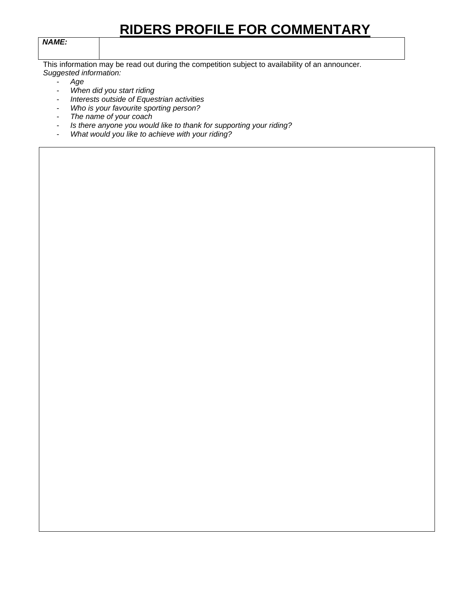# **RIDERS PROFILE FOR COMMENTARY**

#### *NAME:*

This information may be read out during the competition subject to availability of an announcer. *Suggested information:* 

- *Age*
- *When did you start riding*
- *Interests outside of Equestrian activities*
- *Who is your favourite sporting person?*
- *The name of your coach*
- *Is there anyone you would like to thank for supporting your riding?*
- *What would you like to achieve with your riding?*